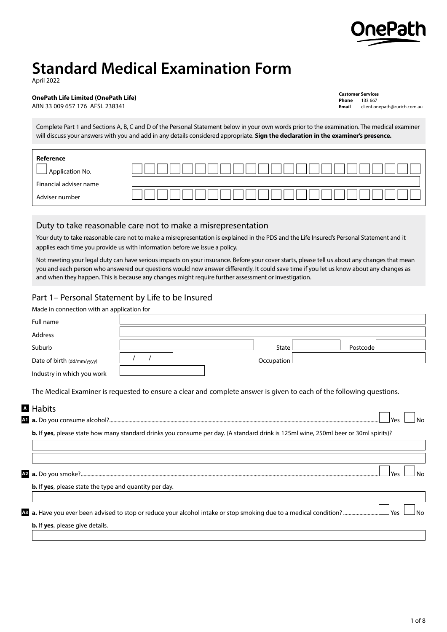

# **Standard Medical Examination Form**

April 2022

## **OnePath Life Limited (OnePath Life)**

ABN 33 009 657 176 AFSL 238341

**Customer Services Phone** 133 667 **Email** [client.onepath@zurich.com.au](mailto:client.onepath%40zurich.com.au?subject=)

Complete Part 1 and Sections A, B, C and D of the Personal Statement below in your own words prior to the examination. The medical examiner will discuss your answers with you and add in any details considered appropriate. **Sign the declaration in the examiner's presence.**

| Reference<br>Application No. |  |
|------------------------------|--|
| Financial adviser name       |  |
| Adviser number               |  |

# Duty to take reasonable care not to make a misrepresentation

Your duty to take reasonable care not to make a misrepresentation is explained in the PDS and the Life Insured's Personal Statement and it applies each time you provide us with information before we issue a policy.

Not meeting your legal duty can have serious impacts on your insurance. Before your cover starts, please tell us about any changes that mean you and each person who answered our questions would now answer differently. It could save time if you let us know about any changes as and when they happen. This is because any changes might require further assessment or investigation.

# Part 1– Personal Statement by Life to be Insured

| Made in connection with an application for                    |                                                                                                                                     |              |          |             |
|---------------------------------------------------------------|-------------------------------------------------------------------------------------------------------------------------------------|--------------|----------|-------------|
| Full name                                                     |                                                                                                                                     |              |          |             |
| Address                                                       |                                                                                                                                     |              |          |             |
| Suburb                                                        |                                                                                                                                     | <b>State</b> | Postcode |             |
| Date of birth (dd/mm/yyyy)                                    |                                                                                                                                     | Occupation   |          |             |
| Industry in which you work                                    |                                                                                                                                     |              |          |             |
|                                                               | The Medical Examiner is requested to ensure a clear and complete answer is given to each of the following questions.                |              |          |             |
| <b>A</b> Habits                                               |                                                                                                                                     |              |          |             |
|                                                               |                                                                                                                                     |              |          | Yes         |
|                                                               | b. If yes, please state how many standard drinks you consume per day. (A standard drink is 125ml wine, 250ml beer or 30ml spirits)? |              |          |             |
|                                                               |                                                                                                                                     |              |          |             |
|                                                               |                                                                                                                                     |              |          |             |
|                                                               |                                                                                                                                     |              |          | Yes<br>No   |
| <b>b.</b> If yes, please state the type and quantity per day. |                                                                                                                                     |              |          |             |
|                                                               |                                                                                                                                     |              |          |             |
|                                                               |                                                                                                                                     |              |          | l Yes<br>No |
| b. If yes, please give details.                               |                                                                                                                                     |              |          |             |
|                                                               |                                                                                                                                     |              |          |             |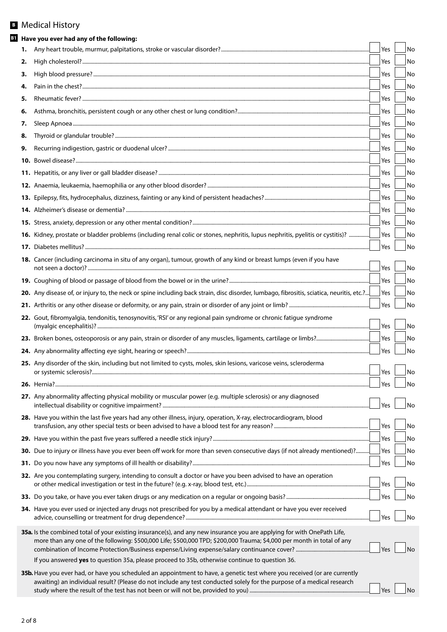# Medical History **B**

|    | <b>B1</b> Have you ever had any of the following:                                                                                                                                                                                                   |     |    |
|----|-----------------------------------------------------------------------------------------------------------------------------------------------------------------------------------------------------------------------------------------------------|-----|----|
| 1. |                                                                                                                                                                                                                                                     | Yes | No |
| 2. |                                                                                                                                                                                                                                                     | Yes | No |
| з. |                                                                                                                                                                                                                                                     | Yes | No |
| 4. |                                                                                                                                                                                                                                                     | Yes | No |
| 5. |                                                                                                                                                                                                                                                     | Yes | No |
| 6. |                                                                                                                                                                                                                                                     | Yes | No |
| 7. |                                                                                                                                                                                                                                                     | Yes | No |
| 8. |                                                                                                                                                                                                                                                     | Yes | No |
| 9. |                                                                                                                                                                                                                                                     | Yes | No |
|    |                                                                                                                                                                                                                                                     | Yes | No |
|    |                                                                                                                                                                                                                                                     | Yes | No |
|    |                                                                                                                                                                                                                                                     | Yes | No |
|    |                                                                                                                                                                                                                                                     | Yes | No |
|    |                                                                                                                                                                                                                                                     | Yes | No |
|    |                                                                                                                                                                                                                                                     | Yes | No |
|    | 16. Kidney, prostate or bladder problems (including renal colic or stones, nephritis, lupus nephritis, pyelitis or cystitis)?                                                                                                                       | Yes | No |
|    |                                                                                                                                                                                                                                                     | Yes | No |
|    | 18. Cancer (including carcinoma in situ of any organ), tumour, growth of any kind or breast lumps (even if you have                                                                                                                                 | Yes | No |
|    |                                                                                                                                                                                                                                                     | Yes | No |
|    | 20. Any disease of, or injury to, the neck or spine including back strain, disc disorder, lumbago, fibrositis, sciatica, neuritis, etc.?                                                                                                            | Yes | No |
|    |                                                                                                                                                                                                                                                     | Yes | No |
|    | 22. Gout, fibromyalgia, tendonitis, tenosynovitis, 'RSI' or any regional pain syndrome or chronic fatigue syndrome                                                                                                                                  | Yes | No |
|    |                                                                                                                                                                                                                                                     | Yes | No |
|    |                                                                                                                                                                                                                                                     | Yes | No |
|    | 25. Any disorder of the skin, including but not limited to cysts, moles, skin lesions, varicose veins, scleroderma                                                                                                                                  | Yes | No |
|    |                                                                                                                                                                                                                                                     | Yes | No |
|    | 27. Any abnormality affecting physical mobility or muscular power (e.g. multiple sclerosis) or any diagnosed                                                                                                                                        | Yes | No |
|    | 28. Have you within the last five years had any other illness, injury, operation, X-ray, electrocardiogram, blood                                                                                                                                   |     |    |
|    |                                                                                                                                                                                                                                                     | Yes | No |
|    |                                                                                                                                                                                                                                                     | Yes | No |
|    | 30. Due to injury or illness have you ever been off work for more than seven consecutive days (if not already mentioned)?                                                                                                                           | Yes | No |
|    |                                                                                                                                                                                                                                                     | Yes | No |
|    | 32. Are you contemplating surgery, intending to consult a doctor or have you been advised to have an operation                                                                                                                                      | Yes | No |
|    |                                                                                                                                                                                                                                                     | Yes | No |
|    | 34. Have you ever used or injected any drugs not prescribed for you by a medical attendant or have you ever received                                                                                                                                | Yes | No |
|    | 35a. Is the combined total of your existing insurance(s), and any new insurance you are applying for with OnePath Life,<br>more than any one of the following: \$500,000 Life; \$500,000 TPD; \$200,000 Trauma; \$4,000 per month in total of any   | Yes | No |
|    | If you answered yes to question 35a, please proceed to 35b, otherwise continue to question 36.                                                                                                                                                      |     |    |
|    | 35b. Have you ever had, or have you scheduled an appointment to have, a genetic test where you received (or are currently<br>awaiting) an individual result? (Please do not include any test conducted solely for the purpose of a medical research |     |    |
|    |                                                                                                                                                                                                                                                     | Yes | No |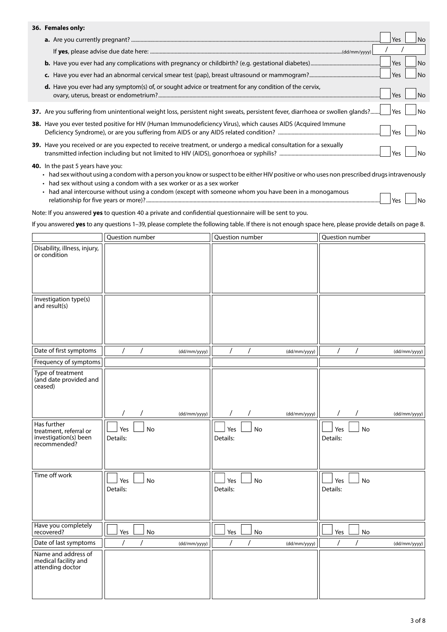## **36. Females only:**

|                                                                                                                               | Yes        | No.            |
|-------------------------------------------------------------------------------------------------------------------------------|------------|----------------|
|                                                                                                                               |            |                |
|                                                                                                                               | Yes        | N <sub>o</sub> |
|                                                                                                                               | <b>Yes</b> | l No           |
| <b>d.</b> Have you ever had any symptom(s) of, or sought advice or treatment for any condition of the cervix,                 | Yes        |                |
| 37. Are you suffering from unintentional weight loss, persistent night sweats, persistent fever, diarrhoea or swollen glands? | Yes        |                |
| 38. Have you ever tested positive for HIV (Human Immunodeficiency Virus), which causes AIDS (Acquired Immune                  | Yes        |                |
| 39. Have you received or are you expected to receive treatment, or undergo a medical consultation for a sexually              | Yes        | No             |

#### **40.** In the past 5 years have you:

- had sex without using a condom with a person you know or suspect to be either HIV positive or who uses non prescribed drugs intravenously
- had sex without using a condom with a sex worker or as a sex worker
- had anal intercourse without using a condom (except with someone whom you have been in a monogamous relationship for five years or more)? .............................................................................................................................. Yes No

Note: If you answered **yes** to question 40 a private and confidential questionnaire will be sent to you.

If you answered **yes** to any questions 1–39, please complete the following table. If there is not enough space here, please provide details on page 8.

|                                                                                | Question number            |              | Question number |                |              | Question number |           |              |
|--------------------------------------------------------------------------------|----------------------------|--------------|-----------------|----------------|--------------|-----------------|-----------|--------------|
| Disability, illness, injury,<br>or condition                                   |                            |              |                 |                |              |                 |           |              |
| Investigation type(s)<br>and result(s)                                         |                            |              |                 |                |              |                 |           |              |
| Date of first symptoms                                                         | $\prime$<br>$\overline{1}$ | (dd/mm/yyyy) |                 | $\overline{1}$ | (dd/mm/yyyy) | $\prime$        | $\prime$  | (dd/mm/yyyy) |
| Frequency of symptoms                                                          |                            |              |                 |                |              |                 |           |              |
| Type of treatment<br>(and date provided and<br>ceased)                         |                            |              |                 |                |              |                 |           |              |
|                                                                                | $\prime$<br>$\prime$       | (dd/mm/yyyy) | $\prime$        | $\prime$       | (dd/mm/yyyy) | $\sqrt{2}$      | $\prime$  | (dd/mm/yyyy) |
| Has further<br>treatment, referral or<br>investigation(s) been<br>recommended? | Yes<br>No<br>Details:      |              | Yes<br>Details: | No             |              | Yes<br>Details: | No        |              |
| Time off work                                                                  | Yes<br>No<br>Details:      |              | Yes<br>Details: | No             |              | Yes<br>Details: | <b>No</b> |              |
| Have you completely<br>recovered?                                              | Yes<br>No                  |              | Yes             | No             |              | Yes             | No        |              |
| Date of last symptoms                                                          | $\prime$                   | (dd/mm/yyyy) | $\prime$        | $\prime$       | (dd/mm/yyyy) | $\prime$        | $\prime$  | (dd/mm/yyyy) |
| Name and address of<br>medical facility and<br>attending doctor                |                            |              |                 |                |              |                 |           |              |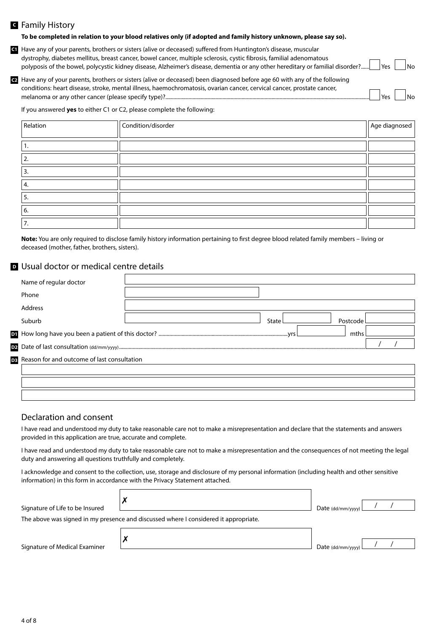## Family History **C**

#### **To be completed in relation to your blood relatives only (if adopted and family history unknown, please say so).**

Have any of your parents, brothers or sisters (alive or deceased) suffered from Huntington's disease, muscular **C1** dystrophy, diabetes mellitus, breast cancer, bowel cancer, multiple sclerosis, cystic fibrosis, familial adenomatous polyposis of the bowel, polycystic kidney disease, Alzheimer's disease, dementia or any other hereditary or familial disorder?...... | Yes | | No

Have any of your parents, brothers or sisters (alive or deceased) been diagnosed before age 60 with any of the following **C2** conditions: heart disease, stroke, mental illness, haemochromatosis, ovarian cancer, cervical cancer, prostate cancer, melanoma or any other cancer (please specify type)?............................................................................................................................... Yes No

If you answered **yes** to either C1 or C2, please complete the following:

| Relation | Condition/disorder | Age diagnosed |
|----------|--------------------|---------------|
|          |                    |               |
| ٠.       |                    |               |
| l 2.     |                    |               |
| IЗ.      |                    |               |
| 4.       |                    |               |
| 5.       |                    |               |
| 6.       |                    |               |
| 7.       |                    |               |

**Note:** You are only required to disclose family history information pertaining to first degree blood related family members – living or deceased (mother, father, brothers, sisters).

## Usual doctor or medical centre details **D**

| Name of regular doctor                                |       |          |  |
|-------------------------------------------------------|-------|----------|--|
| Phone                                                 |       |          |  |
| Address                                               |       |          |  |
| Suburb                                                | State | Postcode |  |
|                                                       |       | mths     |  |
|                                                       |       |          |  |
| <b>DB</b> Reason for and outcome of last consultation |       |          |  |
|                                                       |       |          |  |
|                                                       |       |          |  |

## Declaration and consent

I have read and understood my duty to take reasonable care not to make a misrepresentation and declare that the statements and answers provided in this application are true, accurate and complete.

I have read and understood my duty to take reasonable care not to make a misrepresentation and the consequences of not meeting the legal duty and answering all questions truthfully and completely.

I acknowledge and consent to the collection, use, storage and disclosure of my personal information (including health and other sensitive information) in this form in accordance with the Privacy Statement attached.

| Signature of Life to be Insured |                                                                                      | Date $\frac{dd}{m}$ / $\frac{1}{1}$ |  |  |
|---------------------------------|--------------------------------------------------------------------------------------|-------------------------------------|--|--|
|                                 | The above was signed in my presence and discussed where I considered it appropriate. |                                     |  |  |
|                                 |                                                                                      |                                     |  |  |

Signature of Medical Examiner

✗

| Date (dd/mm/yyyy) l |  |  |
|---------------------|--|--|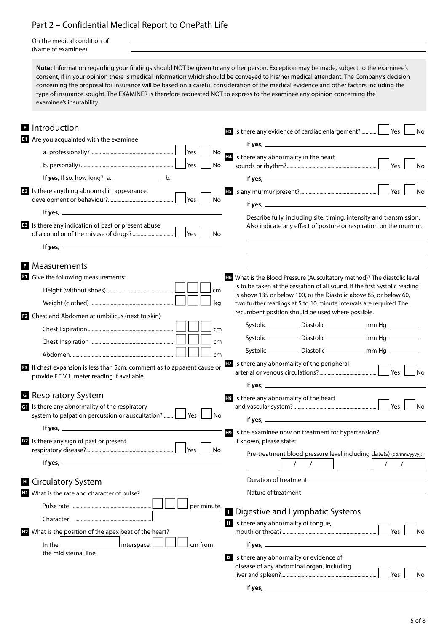# Part 2 – Confidential Medical Report to OnePath Life

On the medical condition of (Name of examinee)

**Note:** Information regarding your findings should NOT be given to any other person. Exception may be made, subject to the examinee's consent, if in your opinion there is medical information which should be conveyed to his/her medical attendant. The Company's decision concerning the proposal for insurance will be based on a careful consideration of the medical evidence and other factors including the type of insurance sought. The EXAMINER is therefore requested NOT to express to the examinee any opinion concerning the examinee's insurability.

|                | <b>E</b> Introduction<br>Are you acquainted with the examinee                                                                 | <b>HB</b> Is there any evidence of cardiac enlargement?<br>Yes<br>N <sub>o</sub><br>If yes, $\frac{1}{2}$                                                                                                                         |
|----------------|-------------------------------------------------------------------------------------------------------------------------------|-----------------------------------------------------------------------------------------------------------------------------------------------------------------------------------------------------------------------------------|
|                | No                                                                                                                            | Is there any abnormality in the heart                                                                                                                                                                                             |
|                | Yes<br>No                                                                                                                     | l No                                                                                                                                                                                                                              |
|                |                                                                                                                               |                                                                                                                                                                                                                                   |
|                | <b>E2</b> Is there anything abnormal in appearance,<br><b>No</b>                                                              | No                                                                                                                                                                                                                                |
|                |                                                                                                                               | Describe fully, including site, timing, intensity and transmission.                                                                                                                                                               |
|                | <b>E</b> Is there any indication of past or present abuse<br><b>No</b>                                                        | Also indicate any effect of posture or respiration on the murmur.                                                                                                                                                                 |
|                |                                                                                                                               |                                                                                                                                                                                                                                   |
| - 51           | Measurements                                                                                                                  |                                                                                                                                                                                                                                   |
|                | <sup>1</sup> Give the following measurements:                                                                                 | <b>Ho</b> What is the Blood Pressure (Auscultatory method)? The diastolic level                                                                                                                                                   |
|                | cm                                                                                                                            | is to be taken at the cessation of all sound. If the first Systolic reading                                                                                                                                                       |
|                | kg                                                                                                                            | is above 135 or below 100, or the Diastolic above 85, or below 60,<br>two further readings at 5 to 10 minute intervals are required. The                                                                                          |
|                | <b>E2</b> Chest and Abdomen at umbilicus (next to skin)                                                                       | recumbent position should be used where possible.                                                                                                                                                                                 |
|                | cm                                                                                                                            |                                                                                                                                                                                                                                   |
|                | cm                                                                                                                            |                                                                                                                                                                                                                                   |
|                |                                                                                                                               | Systolic ______________ Diastolic _________________ mm Hg ____________                                                                                                                                                            |
|                | cm                                                                                                                            | <b>EV</b> Is there any abnormality of the peripheral                                                                                                                                                                              |
|                | <b>E</b> If chest expansion is less than 5cm, comment as to apparent cause or<br>provide F.E.V.1. meter reading if available. | l No                                                                                                                                                                                                                              |
|                |                                                                                                                               | If yes, $\frac{1}{2}$ is the set of the set of the set of the set of the set of the set of the set of the set of the set of the set of the set of the set of the set of the set of the set of the set of the set of the set of th |
|                | <b>G</b> Respiratory System                                                                                                   | <b>HB</b> Is there any abnormality of the heart                                                                                                                                                                                   |
|                | <b>G</b> Is there any abnormality of the respiratory<br>Yes<br>system to palpation percussion or auscultation?<br>l No        | l No                                                                                                                                                                                                                              |
|                | If yes, $\frac{1}{2}$                                                                                                         |                                                                                                                                                                                                                                   |
|                |                                                                                                                               | He Is the examinee now on treatment for hypertension?                                                                                                                                                                             |
|                | de Is there any sign of past or present<br>No                                                                                 | If known, please state:                                                                                                                                                                                                           |
|                | If yes, $\overline{\phantom{a}}$                                                                                              | Pre-treatment blood pressure level including date(s) (dd/mm/yyyy):                                                                                                                                                                |
|                | <b>E</b> Circulatory System                                                                                                   |                                                                                                                                                                                                                                   |
|                | <b>II</b> What is the rate and character of pulse?                                                                            |                                                                                                                                                                                                                                   |
|                | per minute.                                                                                                                   |                                                                                                                                                                                                                                   |
|                |                                                                                                                               | <b>Digestive and Lymphatic Systems</b><br>Il Is there any abnormality of tongue,                                                                                                                                                  |
| H <sub>2</sub> | What is the position of the apex beat of the heart?                                                                           | Yes<br>No                                                                                                                                                                                                                         |
|                | $]$ interspace,<br>In the $\lfloor$<br>cm from                                                                                |                                                                                                                                                                                                                                   |
|                | the mid sternal line.                                                                                                         | <b>E</b> Is there any abnormality or evidence of                                                                                                                                                                                  |
|                |                                                                                                                               | disease of any abdominal organ, including                                                                                                                                                                                         |
|                |                                                                                                                               | Yes<br>No                                                                                                                                                                                                                         |
|                |                                                                                                                               | If yes, $-$<br><u> 1989 - Johann Barbara, martx</u>                                                                                                                                                                               |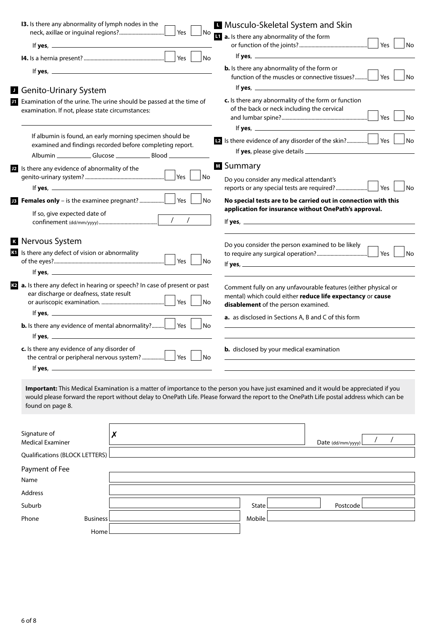| 13. Is there any abnormality of lymph nodes in the                                                                                                                                                                                                                                                                                                                                                                                                                                                                | No<br>Yes                                                                              |           | <b>H</b> Musculo-Skeletal System and Skin                                                                                                                                                         |                                                                                                                                             |
|-------------------------------------------------------------------------------------------------------------------------------------------------------------------------------------------------------------------------------------------------------------------------------------------------------------------------------------------------------------------------------------------------------------------------------------------------------------------------------------------------------------------|----------------------------------------------------------------------------------------|-----------|---------------------------------------------------------------------------------------------------------------------------------------------------------------------------------------------------|---------------------------------------------------------------------------------------------------------------------------------------------|
|                                                                                                                                                                                                                                                                                                                                                                                                                                                                                                                   |                                                                                        |           | <b>1</b> a. Is there any abnormality of the form                                                                                                                                                  | Yes<br>No                                                                                                                                   |
|                                                                                                                                                                                                                                                                                                                                                                                                                                                                                                                   | Yes  <br>l No                                                                          |           |                                                                                                                                                                                                   |                                                                                                                                             |
|                                                                                                                                                                                                                                                                                                                                                                                                                                                                                                                   |                                                                                        |           | <b>b.</b> Is there any abnormality of the form or<br>function of the muscles or connective tissues?                                                                                               | Yes  <br><b>No</b>                                                                                                                          |
| <b>Genito-Urinary System</b>                                                                                                                                                                                                                                                                                                                                                                                                                                                                                      |                                                                                        |           |                                                                                                                                                                                                   |                                                                                                                                             |
| Examination of the urine. The urine should be passed at the time of<br>examination. If not, please state circumstances:                                                                                                                                                                                                                                                                                                                                                                                           |                                                                                        |           | c. Is there any abnormality of the form or function<br>of the back or neck including the cervical                                                                                                 | Yes<br><b>No</b>                                                                                                                            |
| If albumin is found, an early morning specimen should be<br>examined and findings recorded before completing report.                                                                                                                                                                                                                                                                                                                                                                                              |                                                                                        |           |                                                                                                                                                                                                   | l No                                                                                                                                        |
|                                                                                                                                                                                                                                                                                                                                                                                                                                                                                                                   |                                                                                        | M Summary |                                                                                                                                                                                                   |                                                                                                                                             |
| Is there any evidence of abnormality of the                                                                                                                                                                                                                                                                                                                                                                                                                                                                       | Yes $ $<br>No                                                                          |           | Do you consider any medical attendant's                                                                                                                                                           |                                                                                                                                             |
|                                                                                                                                                                                                                                                                                                                                                                                                                                                                                                                   |                                                                                        |           | reports or any special tests are required?                                                                                                                                                        | Yes<br>No                                                                                                                                   |
|                                                                                                                                                                                                                                                                                                                                                                                                                                                                                                                   | Yes  <br>No                                                                            |           |                                                                                                                                                                                                   | No special tests are to be carried out in connection with this                                                                              |
| If so, give expected date of                                                                                                                                                                                                                                                                                                                                                                                                                                                                                      |                                                                                        |           | application for insurance without OnePath's approval.                                                                                                                                             |                                                                                                                                             |
|                                                                                                                                                                                                                                                                                                                                                                                                                                                                                                                   | $\overline{\phantom{a}}$<br>$\prime$                                                   |           |                                                                                                                                                                                                   |                                                                                                                                             |
| <b>R</b> Nervous System<br>K Is there any defect of vision or abnormality<br><b>to</b> a. Is there any defect in hearing or speech? In case of present or past<br>ear discharge or deafness, state result<br><b>b.</b> Is there any evidence of mental abnormality?<br>If yes, $\overline{\phantom{a}}$<br>c. Is there any evidence of any disorder of<br>If yes, $\_\_$<br>Important: This Medical Examination is a matter of importance to the person you have just examined and it would be appreciated if you | Yes<br> No<br>Yes $\vert$<br>$\overline{\phantom{a}}$ No<br>Yes  <br>l No<br>Yes<br>No |           | Do you consider the person examined to be likely<br>disablement of the person examined.<br>a. as disclosed in Sections A, B and C of this form<br><b>b.</b> disclosed by your medical examination | Yes  <br>No<br>Comment fully on any unfavourable features (either physical or<br>mental) which could either reduce life expectancy or cause |
| would please forward the report without delay to OnePath Life. Please forward the report to the OnePath Life postal address which can be<br>found on page 8.                                                                                                                                                                                                                                                                                                                                                      |                                                                                        |           |                                                                                                                                                                                                   |                                                                                                                                             |
| Signature of<br>$\boldsymbol{x}$<br><b>Medical Examiner</b>                                                                                                                                                                                                                                                                                                                                                                                                                                                       |                                                                                        |           |                                                                                                                                                                                                   | Date (dd/mm/yyyy)                                                                                                                           |
| Qualifications (BLOCK LETTERS)                                                                                                                                                                                                                                                                                                                                                                                                                                                                                    |                                                                                        |           |                                                                                                                                                                                                   |                                                                                                                                             |
| Payment of Fee<br>Name                                                                                                                                                                                                                                                                                                                                                                                                                                                                                            |                                                                                        |           |                                                                                                                                                                                                   |                                                                                                                                             |
| Address                                                                                                                                                                                                                                                                                                                                                                                                                                                                                                           |                                                                                        |           |                                                                                                                                                                                                   |                                                                                                                                             |
| Suburb                                                                                                                                                                                                                                                                                                                                                                                                                                                                                                            |                                                                                        | State     |                                                                                                                                                                                                   | Postcode                                                                                                                                    |
| Phone<br><b>Business</b>                                                                                                                                                                                                                                                                                                                                                                                                                                                                                          |                                                                                        | Mobile    |                                                                                                                                                                                                   |                                                                                                                                             |

6 of 8

Home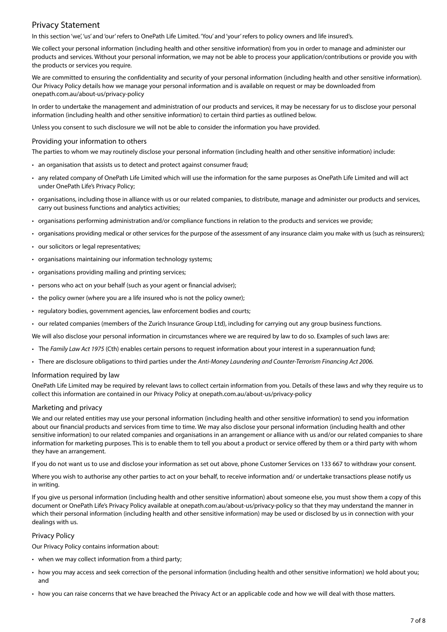# Privacy Statement

In this section 'we', 'us' and 'our' refers to OnePath Life Limited. 'You' and 'your' refers to policy owners and life insured's.

We collect your personal information (including health and other sensitive information) from you in order to manage and administer our products and services. Without your personal information, we may not be able to process your application/contributions or provide you with the products or services you require.

We are committed to ensuring the confidentiality and security of your personal information (including health and other sensitive information). Our Privacy Policy details how we manage your personal information and is available on request or may be downloaded from [onepath.com.au/about-us/privacy-policy](https://www.onepath.com.au/about-us/privacy-policy.html)

In order to undertake the management and administration of our products and services, it may be necessary for us to disclose your personal information (including health and other sensitive information) to certain third parties as outlined below.

Unless you consent to such disclosure we will not be able to consider the information you have provided.

## Providing your information to others

The parties to whom we may routinely disclose your personal information (including health and other sensitive information) include:

- an organisation that assists us to detect and protect against consumer fraud;
- any related company of OnePath Life Limited which will use the information for the same purposes as OnePath Life Limited and will act under OnePath Life's Privacy Policy;
- organisations, including those in alliance with us or our related companies, to distribute, manage and administer our products and services, carry out business functions and analytics activities;
- organisations performing administration and/or compliance functions in relation to the products and services we provide;
- organisations providing medical or other services for the purpose of the assessment of any insurance claim you make with us (such as reinsurers);
- our solicitors or legal representatives;
- organisations maintaining our information technology systems;
- organisations providing mailing and printing services;
- persons who act on your behalf (such as your agent or financial adviser);
- the policy owner (where you are a life insured who is not the policy owner);
- regulatory bodies, government agencies, law enforcement bodies and courts;
- our related companies (members of the Zurich Insurance Group Ltd), including for carrying out any group business functions.

We will also disclose your personal information in circumstances where we are required by law to do so. Examples of such laws are:

- The *Family Law Act 1975* (Cth) enables certain persons to request information about your interest in a superannuation fund;
- There are disclosure obligations to third parties under the *Anti-Money Laundering and Counter-Terrorism Financing Act 2006.*

## Information required by law

OnePath Life Limited may be required by relevant laws to collect certain information from you. Details of these laws and why they require us to collect this information are contained in our Privacy Policy at [onepath.com.au/about-us/privacy-policy](https://www.onepath.com.au/about-us/privacy-policy.html)

## Marketing and privacy

We and our related entities may use your personal information (including health and other sensitive information) to send you information about our financial products and services from time to time. We may also disclose your personal information (including health and other sensitive information) to our related companies and organisations in an arrangement or alliance with us and/or our related companies to share information for marketing purposes. This is to enable them to tell you about a product or service offered by them or a third party with whom they have an arrangement.

If you do not want us to use and disclose your information as set out above, phone Customer Services on 133 667 to withdraw your consent.

Where you wish to authorise any other parties to act on your behalf, to receive information and/ or undertake transactions please notify us in writing.

If you give us personal information (including health and other sensitive information) about someone else, you must show them a copy of this document or OnePath Life's Privacy Policy available at [onepath.com.au/about-us/privacy-policy](https://www.onepath.com.au/about-us/privacy-policy.html) so that they may understand the manner in which their personal information (including health and other sensitive information) may be used or disclosed by us in connection with your dealings with us.

## Privacy Policy

Our Privacy Policy contains information about:

- when we may collect information from a third party;
- how you may access and seek correction of the personal information (including health and other sensitive information) we hold about you; and
- how you can raise concerns that we have breached the Privacy Act or an applicable code and how we will deal with those matters.